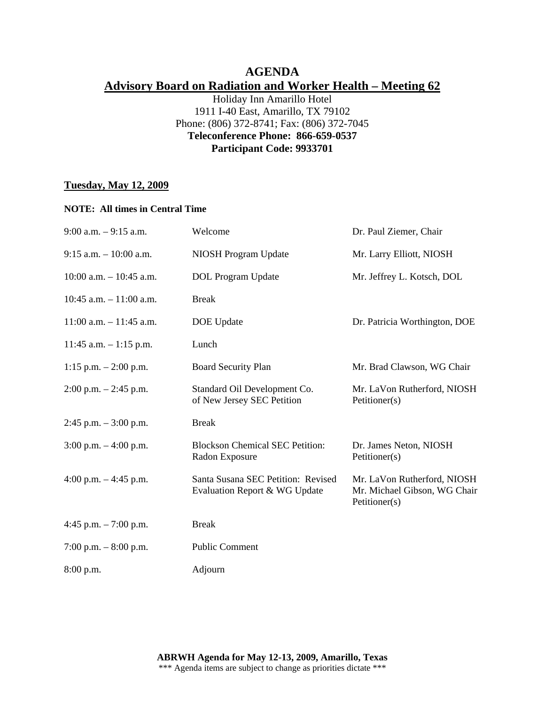## **AGENDA Advisory Board on Radiation and Worker Health – Meeting 62**

Holiday Inn Amarillo Hotel 1911 I-40 East, Amarillo, TX 79102 Phone: (806) 372-8741; Fax: (806) 372-7045 **Teleconference Phone: 866-659-0537 Participant Code: 9933701** 

## **Tuesday, May 12, 2009**

### **NOTE: All times in Central Time**

| $9:00$ a.m. $-9:15$ a.m.   | Welcome                                                             | Dr. Paul Ziemer, Chair                                                       |
|----------------------------|---------------------------------------------------------------------|------------------------------------------------------------------------------|
| $9:15$ a.m. $-10:00$ a.m.  | <b>NIOSH Program Update</b>                                         | Mr. Larry Elliott, NIOSH                                                     |
| $10:00$ a.m. $-10:45$ a.m. | <b>DOL</b> Program Update                                           | Mr. Jeffrey L. Kotsch, DOL                                                   |
| 10:45 a.m. $-11:00$ a.m.   | <b>Break</b>                                                        |                                                                              |
| $11:00$ a.m. $-11:45$ a.m. | DOE Update                                                          | Dr. Patricia Worthington, DOE                                                |
| $11:45$ a.m. $-1:15$ p.m.  | Lunch                                                               |                                                                              |
| 1:15 p.m. $- 2:00$ p.m.    | <b>Board Security Plan</b>                                          | Mr. Brad Clawson, WG Chair                                                   |
| $2:00$ p.m. $-2:45$ p.m.   | Standard Oil Development Co.<br>of New Jersey SEC Petition          | Mr. LaVon Rutherford, NIOSH<br>Petitioner(s)                                 |
| $2:45$ p.m. $-3:00$ p.m.   | <b>Break</b>                                                        |                                                                              |
| $3:00$ p.m. $-4:00$ p.m.   | <b>Blockson Chemical SEC Petition:</b><br>Radon Exposure            | Dr. James Neton, NIOSH<br>Petitioner(s)                                      |
| 4:00 p.m. $-4:45$ p.m.     | Santa Susana SEC Petition: Revised<br>Evaluation Report & WG Update | Mr. LaVon Rutherford, NIOSH<br>Mr. Michael Gibson, WG Chair<br>Petitioner(s) |
| 4:45 p.m. $-7:00$ p.m.     | <b>Break</b>                                                        |                                                                              |
| 7:00 p.m. $-8:00$ p.m.     | <b>Public Comment</b>                                               |                                                                              |
| $8:00$ p.m.                | Adjourn                                                             |                                                                              |